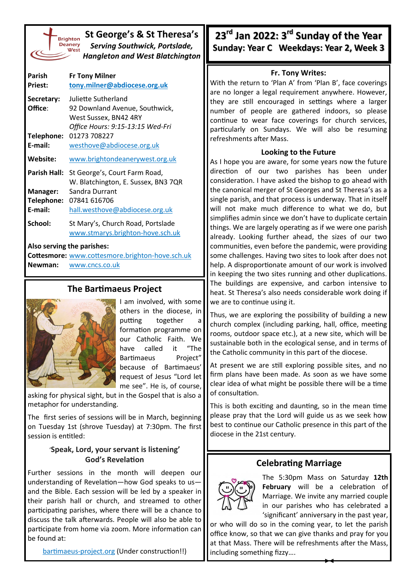| St George's & St Theresa's<br><b>Brighton</b><br>Deanery<br><b>Serving Southwick, Portslade,</b><br>West<br><b>Hangleton and West Blatchington</b> |                                                               |  |  |  |
|----------------------------------------------------------------------------------------------------------------------------------------------------|---------------------------------------------------------------|--|--|--|
| Parish                                                                                                                                             | <b>Fr Tony Milner</b>                                         |  |  |  |
| <b>Priest:</b>                                                                                                                                     | tony.milner@abdiocese.org.uk                                  |  |  |  |
| Secretary:                                                                                                                                         | Juliette Sutherland                                           |  |  |  |
| Office:                                                                                                                                            | 92 Downland Avenue, Southwick,                                |  |  |  |
|                                                                                                                                                    | West Sussex, BN42 4RY                                         |  |  |  |
|                                                                                                                                                    | Office Hours: 9:15-13:15 Wed-Fri                              |  |  |  |
| Telephone:                                                                                                                                         | 01273 708227                                                  |  |  |  |
| E-mail:                                                                                                                                            | westhove@abdiocese.org.uk                                     |  |  |  |
| Website:                                                                                                                                           | www.brightondeanerywest.org.uk                                |  |  |  |
| <b>Parish Hall:</b>                                                                                                                                | St George's, Court Farm Road,                                 |  |  |  |
|                                                                                                                                                    | W. Blatchington, E. Sussex, BN3 7QR                           |  |  |  |
| Manager:                                                                                                                                           | Sandra Durrant                                                |  |  |  |
| Telephone:                                                                                                                                         | 07841 616706                                                  |  |  |  |
| E-mail:                                                                                                                                            | hall.westhove@abdiocese.org.uk                                |  |  |  |
| School:                                                                                                                                            | St Mary's, Church Road, Portslade                             |  |  |  |
|                                                                                                                                                    | www.stmarys.brighton-hove.sch.uk                              |  |  |  |
| Also serving the parishes:                                                                                                                         |                                                               |  |  |  |
|                                                                                                                                                    | وارز والجلج لجرزها والمتعلمات والمستحدث والتقامين وروزورون وو |  |  |  |

**Cottesmore:** [www.cottesmore.brighton](http://www.cottesmore.brighton-hove.sch.uk)-hove.sch.uk **Newman:** [www.cncs.co.uk](https://www.cncs.co.uk/)

## **The Bartimaeus Project**



I am involved, with some others in the diocese, in putting together a formation programme on our Catholic Faith. We have called it "The Bartimaeus Project" because of Bartimaeus' request of Jesus "Lord let me see". He is, of course,

asking for physical sight, but in the Gospel that is also a metaphor for understanding.

The first series of sessions will be in March, beginning on Tuesday 1st (shrove Tuesday) at 7:30pm. The first session is entitled:

### '**Speak, Lord, your servant is listening' God's Revelation**

Further sessions in the month will deepen our understanding of Revelation—how God speaks to us and the Bible. Each session will be led by a speaker in their parish hall or church, and streamed to other participating parishes, where there will be a chance to discuss the talk afterwards. People will also be able to participate from home via zoom. More information can be found at:

[bartimaeus](https://bartimaeus-project.org/)-project.org (Under construction!!)

**23rd Jan 2022: 3rd Sunday of the Year Sunday: Year C Weekdays: Year 2, Week 3** 

#### **Fr. Tony Writes:**

With the return to 'Plan A' from 'Plan B', face coverings are no longer a legal requirement anywhere. However, they are still encouraged in settings where a larger number of people are gathered indoors, so please continue to wear face coverings for church services, particularly on Sundays. We will also be resuming refreshments after Mass.

#### **Looking to the Future**

As I hope you are aware, for some years now the future direction of our two parishes has been under consideration. I have asked the bishop to go ahead with the canonical merger of St Georges and St Theresa's as a single parish, and that process is underway. That in itself will not make much difference to what we do, but simplifies admin since we don't have to duplicate certain things. We are largely operating as if we were one parish already. Looking further ahead, the sizes of our two communities, even before the pandemic, were providing some challenges. Having two sites to look after does not help. A disproportionate amount of our work is involved in keeping the two sites running and other duplications. The buildings are expensive, and carbon intensive to heat. St Theresa's also needs considerable work doing if we are to continue using it.

Thus, we are exploring the possibility of building a new church complex (including parking, hall, office, meeting rooms, outdoor space etc.), at a new site, which will be sustainable both in the ecological sense, and in terms of the Catholic community in this part of the diocese.

At present we are still exploring possible sites, and no firm plans have been made. As soon as we have some clear idea of what might be possible there will be a time of consultation.

This is both exciting and daunting, so in the mean time please pray that the Lord will guide us as we seek how best to continue our Catholic presence in this part of the diocese in the 21st century.

## **Celebrating Marriage**



The 5:30pm Mass on Saturday **12th February** will be a celebration of Marriage. We invite any married couple in our parishes who has celebrated a 'significant' anniversary in the past year,

or who will do so in the coming year, to let the parish office know, so that we can give thanks and pray for you at that Mass. There will be refreshments after the Mass, including something fizzy….